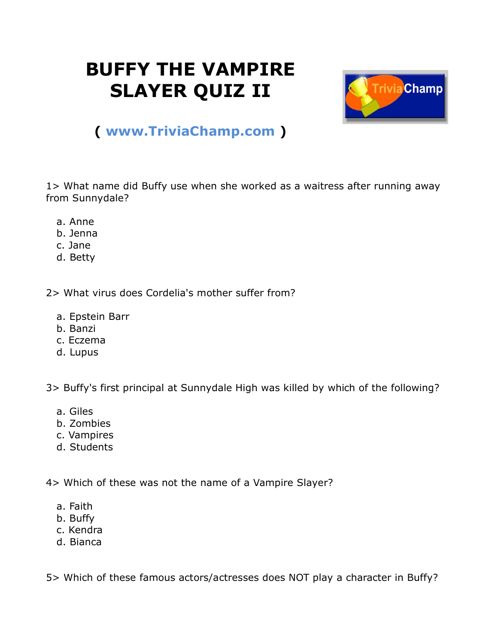## **BUFFY THE VAMPIRE SLAYER QUIZ II**



## **( [www.TriviaChamp.com](http://www.triviachamp.com/) )**

1> What name did Buffy use when she worked as a waitress after running away from Sunnydale?

- a. Anne
- b. Jenna
- c. Jane
- d. Betty

2> What virus does Cordelia's mother suffer from?

- a. Epstein Barr
- b. Banzi
- c. Eczema
- d. Lupus

3> Buffy's first principal at Sunnydale High was killed by which of the following?

- a. Giles
- b. Zombies
- c. Vampires
- d. Students

4> Which of these was not the name of a Vampire Slayer?

- a. Faith
- b. Buffy
- c. Kendra
- d. Bianca

5> Which of these famous actors/actresses does NOT play a character in Buffy?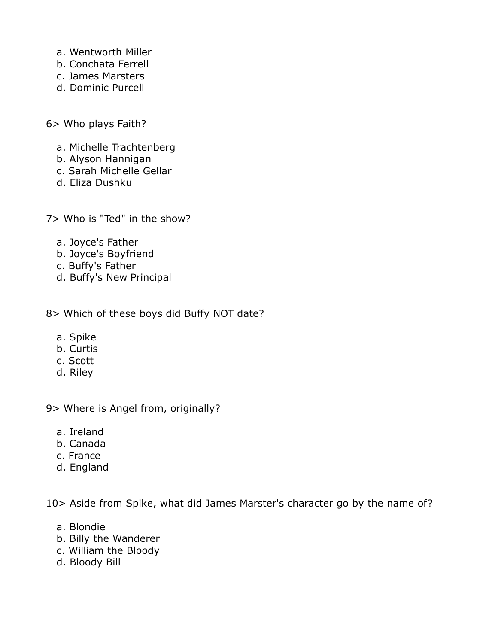- a. Wentworth Miller
- b. Conchata Ferrell
- c. James Marsters
- d. Dominic Purcell
- 6> Who plays Faith?
	- a. Michelle Trachtenberg
	- b. Alyson Hannigan
	- c. Sarah Michelle Gellar
	- d. Eliza Dushku
- 7> Who is "Ted" in the show?
	- a. Joyce's Father
	- b. Joyce's Boyfriend
	- c. Buffy's Father
	- d. Buffy's New Principal
- 8> Which of these boys did Buffy NOT date?
	- a. Spike
	- b. Curtis
	- c. Scott
	- d. Riley
- 9> Where is Angel from, originally?
	- a. Ireland
	- b. Canada
	- c. France
	- d. England

10> Aside from Spike, what did James Marster's character go by the name of?

- a. Blondie
- b. Billy the Wanderer
- c. William the Bloody
- d. Bloody Bill